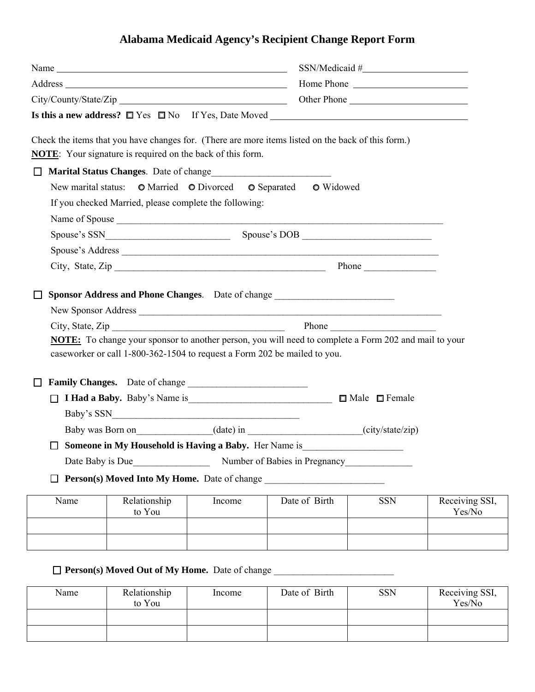## **Alabama Medicaid Agency's Recipient Change Report Form**

|        |                                                                   |        |                                                                                                              | SSN/Medical # |                          |  |  |
|--------|-------------------------------------------------------------------|--------|--------------------------------------------------------------------------------------------------------------|---------------|--------------------------|--|--|
|        |                                                                   |        |                                                                                                              | Home Phone    |                          |  |  |
|        |                                                                   |        |                                                                                                              |               |                          |  |  |
|        |                                                                   |        |                                                                                                              |               |                          |  |  |
|        | <b>NOTE:</b> Your signature is required on the back of this form. |        | Check the items that you have changes for. (There are more items listed on the back of this form.)           |               |                          |  |  |
| П      |                                                                   |        |                                                                                                              |               |                          |  |  |
|        |                                                                   |        | New marital status: O Married O Divorced O Separated O Widowed                                               |               |                          |  |  |
|        | If you checked Married, please complete the following:            |        |                                                                                                              |               |                          |  |  |
|        |                                                                   |        |                                                                                                              |               |                          |  |  |
|        |                                                                   |        |                                                                                                              |               |                          |  |  |
|        |                                                                   |        | Spouse's Address                                                                                             |               |                          |  |  |
|        |                                                                   |        |                                                                                                              |               |                          |  |  |
|        |                                                                   |        |                                                                                                              |               |                          |  |  |
|        |                                                                   |        | Sponsor Address and Phone Changes. Date of change _______________________________                            |               |                          |  |  |
|        |                                                                   |        |                                                                                                              |               |                          |  |  |
|        | City, State, Zip                                                  |        |                                                                                                              |               |                          |  |  |
|        |                                                                   |        | <b>NOTE:</b> To change your sponsor to another person, you will need to complete a Form 202 and mail to your |               |                          |  |  |
|        |                                                                   |        | caseworker or call 1-800-362-1504 to request a Form 202 be mailed to you.                                    |               |                          |  |  |
|        | Family Changes. Date of change                                    |        |                                                                                                              |               |                          |  |  |
|        |                                                                   |        |                                                                                                              |               |                          |  |  |
|        |                                                                   |        |                                                                                                              |               |                          |  |  |
|        |                                                                   |        | Baby was Born on (date) in (city/state/zip)                                                                  |               |                          |  |  |
| $\Box$ | Someone in My Household is Having a Baby. Her Name is             |        |                                                                                                              |               |                          |  |  |
|        | Date Baby is Due                                                  |        | Number of Babies in Pregnancy                                                                                |               |                          |  |  |
|        | <b>Person(s) Moved Into My Home.</b> Date of change               |        |                                                                                                              |               |                          |  |  |
|        |                                                                   |        |                                                                                                              |               |                          |  |  |
| Name   | Relationship<br>to You                                            | Income | Date of Birth                                                                                                | <b>SSN</b>    | Receiving SSI,<br>Yes/No |  |  |
|        |                                                                   |        |                                                                                                              |               |                          |  |  |
|        |                                                                   |        |                                                                                                              |               |                          |  |  |

## **Person(s) Moved Out of My Home.** Date of change \_\_\_\_\_\_\_\_\_\_\_\_\_\_\_\_\_\_\_\_\_\_\_\_\_

| Name | Relationship<br>to You | Income | Date of Birth | <b>SSN</b> | Receiving SSI,<br>Yes/No |
|------|------------------------|--------|---------------|------------|--------------------------|
|      |                        |        |               |            |                          |
|      |                        |        |               |            |                          |